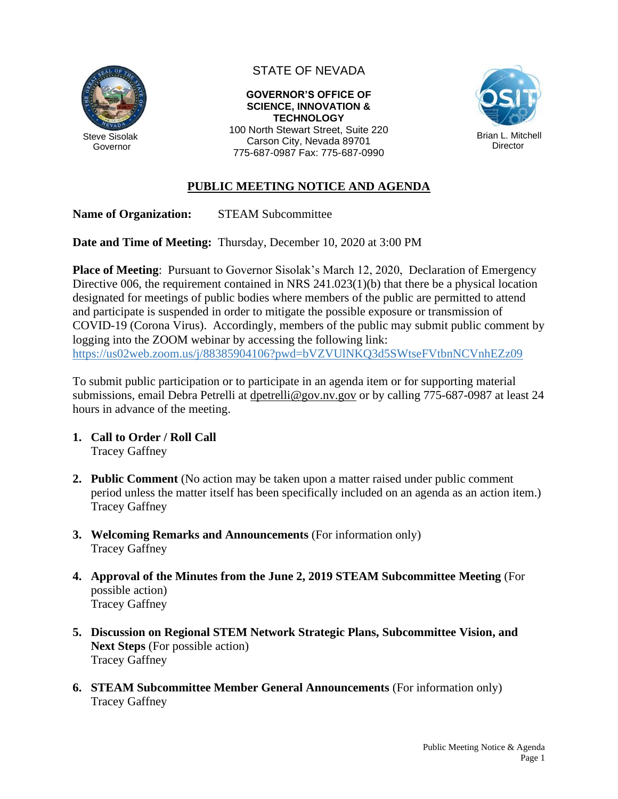

STATE OF NEVADA

**GOVERNOR'S OFFICE OF SCIENCE, INNOVATION & TECHNOLOGY** 100 North Stewart Street, Suite 220

Carson City, Nevada 89701 775-687-0987 Fax: 775-687-0990



## **PUBLIC MEETING NOTICE AND AGENDA**

**Name of Organization:** STEAM Subcommittee

**Date and Time of Meeting:** Thursday, December 10, 2020 at 3:00 PM

**Place of Meeting**: Pursuant to Governor Sisolak's March 12, 2020, Declaration of Emergency Directive 006, the requirement contained in NRS 241.023(1)(b) that there be a physical location designated for meetings of public bodies where members of the public are permitted to attend and participate is suspended in order to mitigate the possible exposure or transmission of COVID-19 (Corona Virus). Accordingly, members of the public may submit public comment by logging into the ZOOM webinar by accessing the following link: <https://us02web.zoom.us/j/88385904106?pwd=bVZVUlNKQ3d5SWtseFVtbnNCVnhEZz09>

To submit public participation or to participate in an agenda item or for supporting material submissions, email Debra Petrelli at [dpetrelli@gov.nv.gov](mailto:dpetrelli@gov.nv.gov) or by calling 775-687-0987 at least 24 hours in advance of the meeting.

- **1. Call to Order / Roll Call** Tracey Gaffney
- **2. Public Comment** (No action may be taken upon a matter raised under public comment period unless the matter itself has been specifically included on an agenda as an action item.) Tracey Gaffney
- **3. Welcoming Remarks and Announcements** (For information only) Tracey Gaffney
- **4. Approval of the Minutes from the June 2, 2019 STEAM Subcommittee Meeting** (For possible action) Tracey Gaffney
- **5. Discussion on Regional STEM Network Strategic Plans, Subcommittee Vision, and Next Steps** (For possible action) Tracey Gaffney
- **6. STEAM Subcommittee Member General Announcements** (For information only) Tracey Gaffney